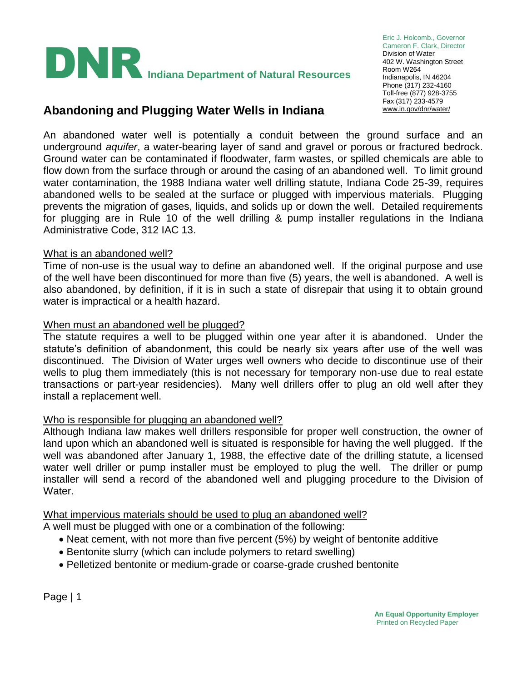

Eric J. Holcomb., Governor Cameron F. Clark, Director Division of Water 402 W. Washington Street Room W264 Indianapolis, IN 46204 Phone (317) 232-4160 Toll-free (877) 928-3755 Fax (317) 233-4579

# Abandoning and Plugging Water Wells in Indiana **WARER WINDING WASHIPLEY**

An abandoned water well is potentially a conduit between the ground surface and an underground *aquifer*, a water-bearing layer of sand and gravel or porous or fractured bedrock. Ground water can be contaminated if floodwater, farm wastes, or spilled chemicals are able to flow down from the surface through or around the casing of an abandoned well. To limit ground water contamination, the 1988 Indiana water well drilling statute, Indiana Code 25-39, requires abandoned wells to be sealed at the surface or plugged with impervious materials. Plugging prevents the migration of gases, liquids, and solids up or down the well. Detailed requirements for plugging are in Rule 10 of the well drilling & pump installer regulations in the Indiana Administrative Code, 312 IAC 13.

## What is an abandoned well?

Time of non-use is the usual way to define an abandoned well. If the original purpose and use of the well have been discontinued for more than five (5) years, the well is abandoned. A well is also abandoned, by definition, if it is in such a state of disrepair that using it to obtain ground water is impractical or a health hazard.

#### When must an abandoned well be plugged?

The statute requires a well to be plugged within one year after it is abandoned. Under the statute's definition of abandonment, this could be nearly six years after use of the well was discontinued. The Division of Water urges well owners who decide to discontinue use of their wells to plug them immediately (this is not necessary for temporary non-use due to real estate transactions or part-year residencies). Many well drillers offer to plug an old well after they install a replacement well.

#### Who is responsible for plugging an abandoned well?

Although Indiana law makes well drillers responsible for proper well construction, the owner of land upon which an abandoned well is situated is responsible for having the well plugged. If the well was abandoned after January 1, 1988, the effective date of the drilling statute, a licensed water well driller or pump installer must be employed to plug the well. The driller or pump installer will send a record of the abandoned well and plugging procedure to the Division of Water.

What impervious materials should be used to plug an abandoned well?

A well must be plugged with one or a combination of the following:

- Neat cement, with not more than five percent (5%) by weight of bentonite additive
- Bentonite slurry (which can include polymers to retard swelling)
- Pelletized bentonite or medium-grade or coarse-grade crushed bentonite

Page | 1